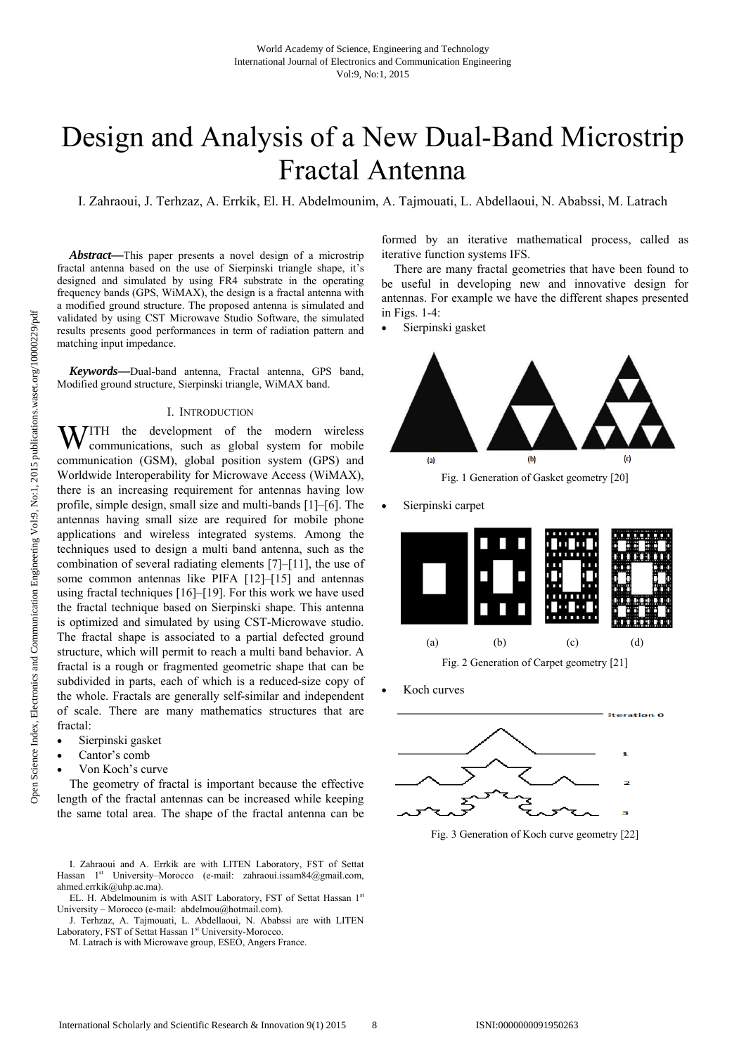# Design and Analysis of a New Dual-Band Microstrip Fractal Antenna

I. Zahraoui, J. Terhzaz, A. Errkik, El. H. Abdelmounim, A. Tajmouati, L. Abdellaoui, N. Ababssi, M. Latrach

*Abstract***—**This paper presents a novel design of a microstrip fractal antenna based on the use of Sierpinski triangle shape, it's designed and simulated by using FR4 substrate in the operating frequency bands (GPS, WiMAX), the design is a fractal antenna with a modified ground structure. The proposed antenna is simulated and validated by using CST Microwave Studio Software, the simulated results presents good performances in term of radiation pattern and matching input impedance.

*Keywords***—**Dual-band antenna, Fractal antenna, GPS band, Modified ground structure, Sierpinski triangle, WiMAX band.

## I. INTRODUCTION

WITH the development of the modern wireless communications, such as global system for mobile communications, such as global system for mobile communication (GSM), global position system (GPS) and Worldwide Interoperability for Microwave Access (WiMAX), there is an increasing requirement for antennas having low profile, simple design, small size and multi-bands [1]–[6]. The antennas having small size are required for mobile phone applications and wireless integrated systems. Among the techniques used to design a multi band antenna, such as the combination of several radiating elements [7]–[11], the use of some common antennas like PIFA [12]–[15] and antennas using fractal techniques [16]–[19]. For this work we have used the fractal technique based on Sierpinski shape. This antenna is optimized and simulated by using CST-Microwave studio. The fractal shape is associated to a partial defected ground structure, which will permit to reach a multi band behavior. A fractal is a rough or fragmented geometric shape that can be subdivided in parts, each of which is a reduced-size copy of the whole. Fractals are generally self-similar and independent of scale. There are many mathematics structures that are fractal:

- Sierpinski gasket
- Cantor's comb
- Von Koch's curve

The geometry of fractal is important because the effective length of the fractal antennas can be increased while keeping the same total area. The shape of the fractal antenna can be

I. Zahraoui and A. Errkik are with LITEN Laboratory, FST of Settat Hassan 1<sup>st</sup> University–Morocco (e-mail: zahraoui.issam84@gmail.com, ahmed.errkik@uhp.ac.ma).

EL. H. Abdelmounim is with ASIT Laboratory, FST of Settat Hassan 1st University – Morocco (e-mail: abdelmou@hotmail.com).

J. Terhzaz, A. Tajmouati, L. Abdellaoui, N. Ababssi are with LITEN Laboratory, FST of Settat Hassan 1st University-Morocco.

M. Latrach is with Microwave group, ESEO, Angers France.

formed by an iterative mathematical process, called as iterative function systems IFS.

There are many fractal geometries that have been found to be useful in developing new and innovative design for antennas. For example we have the different shapes presented in Figs. 1-4:

Sierpinski gasket



Sierpinski carpet



Koch curves



Fig. 3 Generation of Koch curve geometry [22]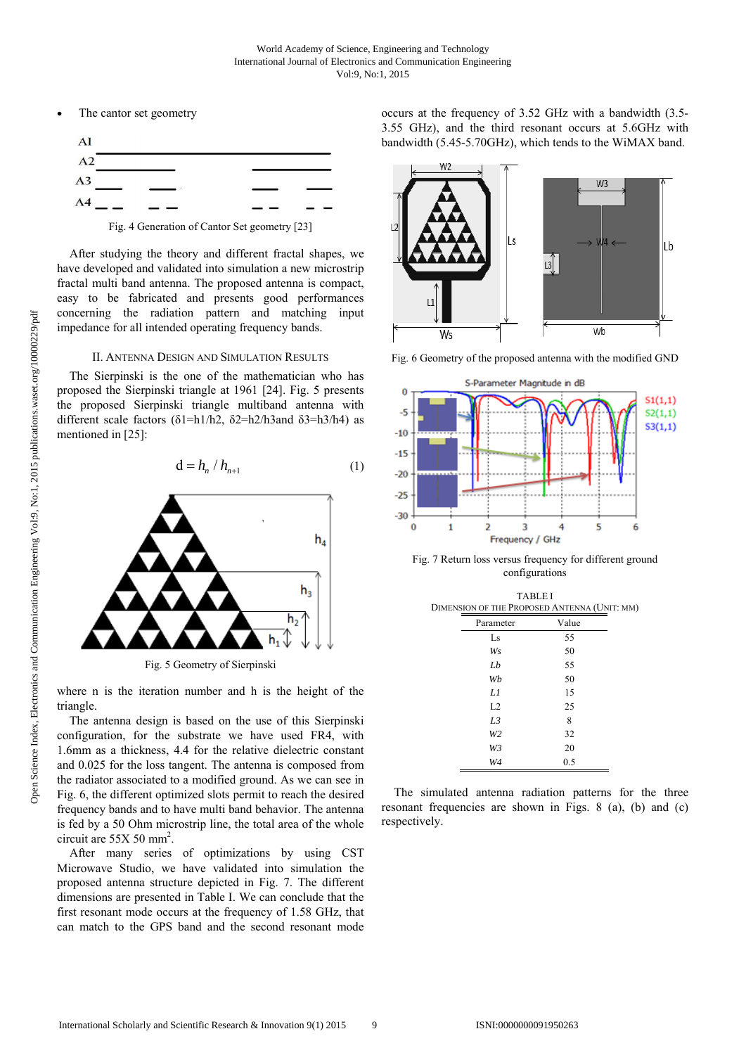The cantor set geometry



After studying the theory and different fractal shapes, we have developed and validated into simulation a new microstrip fractal multi band antenna. The proposed antenna is compact, easy to be fabricated and presents good performances concerning the radiation pattern and matching input impedance for all intended operating frequency bands.

# II. ANTENNA DESIGN AND SIMULATION RESULTS

The Sierpinski is the one of the mathematician who has proposed the Sierpinski triangle at 1961 [24]. Fig. 5 presents the proposed Sierpinski triangle multiband antenna with different scale factors ( $\delta$ 1=h1/h2,  $\delta$ 2=h2/h3and  $\delta$ 3=h3/h4) as mentioned in [25]:

$$
\mathbf{d} = h_n / h_{n+1} \tag{1}
$$



Fig. 5 Geometry of Sierpinski

where n is the iteration number and h is the height of the triangle.

The antenna design is based on the use of this Sierpinski configuration, for the substrate we have used FR4, with 1.6mm as a thickness, 4.4 for the relative dielectric constant and 0.025 for the loss tangent. The antenna is composed from the radiator associated to a modified ground. As we can see in Fig. 6, the different optimized slots permit to reach the desired frequency bands and to have multi band behavior. The antenna is fed by a 50 Ohm microstrip line, the total area of the whole circuit are  $55X 50$  mm<sup>2</sup>.

After many series of optimizations by using CST Microwave Studio, we have validated into simulation the proposed antenna structure depicted in Fig. 7. The different dimensions are presented in Table I. We can conclude that the first resonant mode occurs at the frequency of 1.58 GHz, that can match to the GPS band and the second resonant mode

occurs at the frequency of 3.52 GHz with a bandwidth (3.5- 3.55 GHz), and the third resonant occurs at 5.6GHz with bandwidth (5.45-5.70GHz), which tends to the WiMAX band.



Fig. 6 Geometry of the proposed antenna with the modified GND



Fig. 7 Return loss versus frequency for different ground configurations

| <b>TABLEI</b><br>DIMENSION OF THE PROPOSED ANTENNA (UNIT: MM) |       |  |
|---------------------------------------------------------------|-------|--|
| Parameter                                                     | Value |  |
| Ls                                                            | 55    |  |
| Ws                                                            | 50    |  |
| $_{I}$                                                        | 55    |  |
| Wh                                                            | 50    |  |
| LI                                                            | 15    |  |
| L <sub>2</sub>                                                | 25    |  |
| L <sub>3</sub>                                                | 8     |  |
| W <sub>2</sub>                                                | 32    |  |
| W <sub>3</sub>                                                | 20    |  |
| W4                                                            | 0.5   |  |

The simulated antenna radiation patterns for the three resonant frequencies are shown in Figs. 8 (a), (b) and (c) respectively.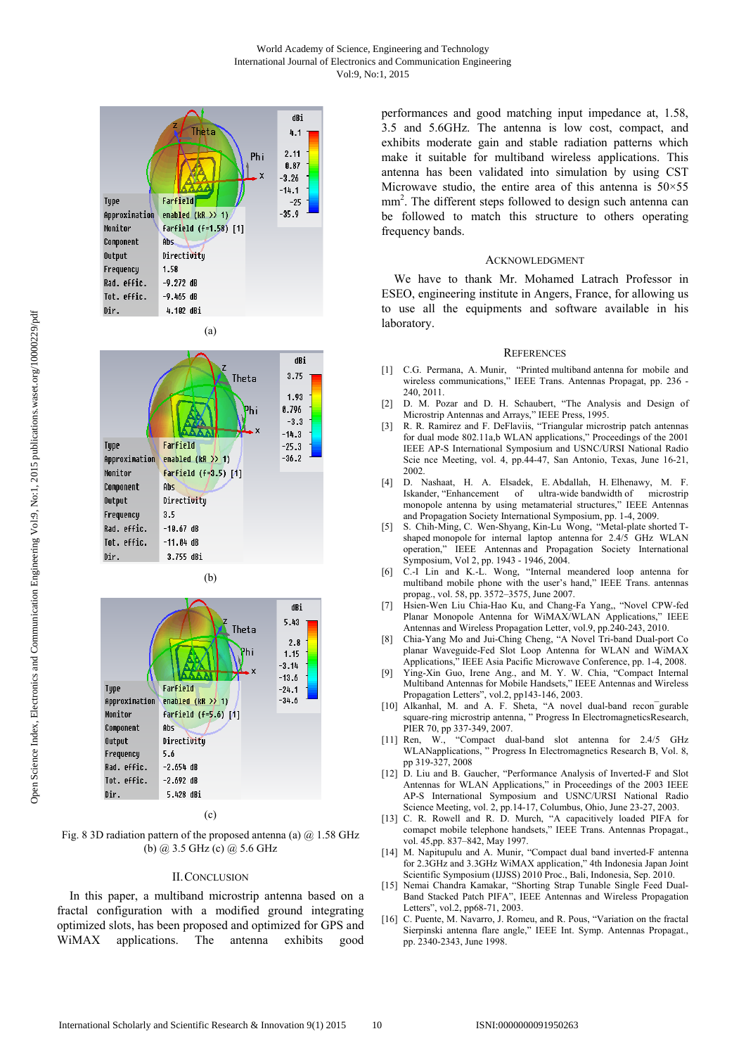









# (c)

Fig. 8 3D radiation pattern of the proposed antenna (a)  $\omega$  1.58 GHz (b) @ 3.5 GHz (c) @ 5.6 GHz

### II.CONCLUSION

In this paper, a multiband microstrip antenna based on a fractal configuration with a modified ground integrating optimized slots, has been proposed and optimized for GPS and WiMAX applications. The antenna exhibits good performances and good matching input impedance at, 1.58, 3.5 and 5.6GHz. The antenna is low cost, compact, and exhibits moderate gain and stable radiation patterns which make it suitable for multiband wireless applications. This antenna has been validated into simulation by using CST Microwave studio, the entire area of this antenna is  $50 \times 55$ mm<sup>2</sup>. The different steps followed to design such antenna can be followed to match this structure to others operating frequency bands.

#### ACKNOWLEDGMENT

We have to thank Mr. Mohamed Latrach Professor in ESEO, engineering institute in Angers, France, for allowing us to use all the equipments and software available in his laboratory.

#### **REFERENCES**

- [1] C.G. Permana, A. Munir, "Printed multiband antenna for mobile and wireless communications," IEEE Trans. Antennas Propagat, pp. 236 -240, 2011.
- [2] D. M. Pozar and D. H. Schaubert, "The Analysis and Design of Microstrip Antennas and Arrays," IEEE Press, 1995.
- [3] R. R. Ramirez and F. DeFlaviis, "Triangular microstrip patch antennas for dual mode 802.11a,b WLAN applications," Proceedings of the 2001 IEEE AP-S International Symposium and USNC/URSI National Radio Scie nce Meeting, vol. 4, pp.44-47, San Antonio, Texas, June 16-21, 2002.
- [4] D. Nashaat, H. A. Elsadek, E. Abdallah, H. Elhenawy, M. F. Iskander, "Enhancement of ultra-wide bandwidth of microstrip monopole antenna by using metamaterial structures," IEEE Antennas and Propagation Society International Symposium, pp. 1-4, 2009.
- [5] S. Chih-Ming, C. Wen-Shyang, Kin-Lu Wong, "Metal-plate shorted Tshaped monopole for internal laptop antenna for 2.4/5 GHz WLAN operation," IEEE Antennas and Propagation Society International Symposium, Vol 2, pp. 1943 - 1946, 2004.
- [6] C.-I Lin and K.-L. Wong, "Internal meandered loop antenna for multiband mobile phone with the user's hand," IEEE Trans. antennas propag., vol. 58, pp. 3572–3575, June 2007.
- [7] Hsien-Wen Liu Chia-Hao Ku, and Chang-Fa Yang,, "Novel CPW-fed Planar Monopole Antenna for WiMAX/WLAN Applications," IEEE Antennas and Wireless Propagation Letter, vol.9, pp.240-243, 2010.
- [8] Chia-Yang Mo and Jui-Ching Cheng, "A Novel Tri-band Dual-port Co planar Waveguide-Fed Slot Loop Antenna for WLAN and WiMAX Applications," IEEE Asia Pacific Microwave Conference, pp. 1-4, 2008.
- [9] Ying-Xin Guo, Irene Ang., and M. Y. W. Chia, "Compact Internal Multiband Antennas for Mobile Handsets," IEEE Antennas and Wireless Propagation Letters", vol.2, pp143-146, 2003.
- [10] Alkanhal, M. and A. F. Sheta, "A novel dual-band recon<sup>-</sup>gurable square-ring microstrip antenna, " Progress In ElectromagneticsResearch, PIER 70, pp 337-349, 2007.
- [11] Ren, W., "Compact dual-band slot antenna for 2.4/5 GHz WLANapplications, " Progress In Electromagnetics Research B, Vol. 8, pp 319-327, 2008
- [12] D. Liu and B. Gaucher, "Performance Analysis of Inverted-F and Slot Antennas for WLAN Applications," in Proceedings of the 2003 IEEE AP-S International Symposium and USNC/URSI National Radio Science Meeting, vol. 2, pp.14-17, Columbus, Ohio, June 23-27, 2003.
- [13] C. R. Rowell and R. D. Murch, "A capacitively loaded PIFA for comapct mobile telephone handsets," IEEE Trans. Antennas Propagat., vol. 45,pp. 837–842, May 1997.
- [14] M. Napitupulu and A. Munir, "Compact dual band inverted-F antenna for 2.3GHz and 3.3GHz WiMAX application," 4th Indonesia Japan Joint Scientific Symposium (IJJSS) 2010 Proc., Bali, Indonesia, Sep. 2010.
- [15] Nemai Chandra Kamakar, "Shorting Strap Tunable Single Feed Dual-Band Stacked Patch PIFA", IEEE Antennas and Wireless Propagation Letters", vol.2, pp68-71, 2003.
- [16] C. Puente, M. Navarro, J. Romeu, and R. Pous, "Variation on the fractal Sierpinski antenna flare angle," IEEE Int. Symp. Antennas Propagat., pp. 2340-2343, June 1998.